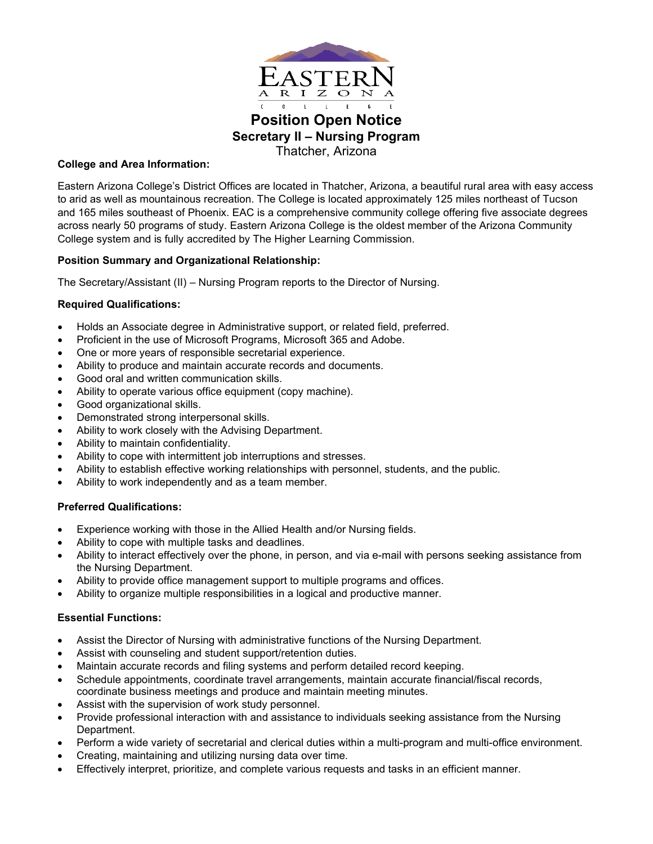

# **Position Open Notice Secretary II – Nursing Program** Thatcher, Arizona

## **College and Area Information:**

Eastern Arizona College's District Offices are located in Thatcher, Arizona, a beautiful rural area with easy access to arid as well as mountainous recreation. The College is located approximately 125 miles northeast of Tucson and 165 miles southeast of Phoenix. EAC is a comprehensive community college offering five associate degrees across nearly 50 programs of study. Eastern Arizona College is the oldest member of the Arizona Community College system and is fully accredited by The Higher Learning Commission.

## **Position Summary and Organizational Relationship:**

The Secretary/Assistant (II) – Nursing Program reports to the Director of Nursing.

### **Required Qualifications:**

- Holds an Associate degree in Administrative support, or related field, preferred.
- Proficient in the use of Microsoft Programs, Microsoft 365 and Adobe.
- One or more years of responsible secretarial experience.
- Ability to produce and maintain accurate records and documents.
- Good oral and written communication skills.
- Ability to operate various office equipment (copy machine).
- Good organizational skills.
- Demonstrated strong interpersonal skills.
- Ability to work closely with the Advising Department.
- Ability to maintain confidentiality.
- Ability to cope with intermittent job interruptions and stresses.
- Ability to establish effective working relationships with personnel, students, and the public.
- Ability to work independently and as a team member.

### **Preferred Qualifications:**

- Experience working with those in the Allied Health and/or Nursing fields.
- Ability to cope with multiple tasks and deadlines.
- Ability to interact effectively over the phone, in person, and via e-mail with persons seeking assistance from the Nursing Department.
- Ability to provide office management support to multiple programs and offices.
- Ability to organize multiple responsibilities in a logical and productive manner.

### **Essential Functions:**

- Assist the Director of Nursing with administrative functions of the Nursing Department.
- Assist with counseling and student support/retention duties.
- Maintain accurate records and filing systems and perform detailed record keeping.
- Schedule appointments, coordinate travel arrangements, maintain accurate financial/fiscal records, coordinate business meetings and produce and maintain meeting minutes.
- Assist with the supervision of work study personnel.
- Provide professional interaction with and assistance to individuals seeking assistance from the Nursing Department.
- Perform a wide variety of secretarial and clerical duties within a multi-program and multi-office environment.
- Creating, maintaining and utilizing nursing data over time.
- Effectively interpret, prioritize, and complete various requests and tasks in an efficient manner.